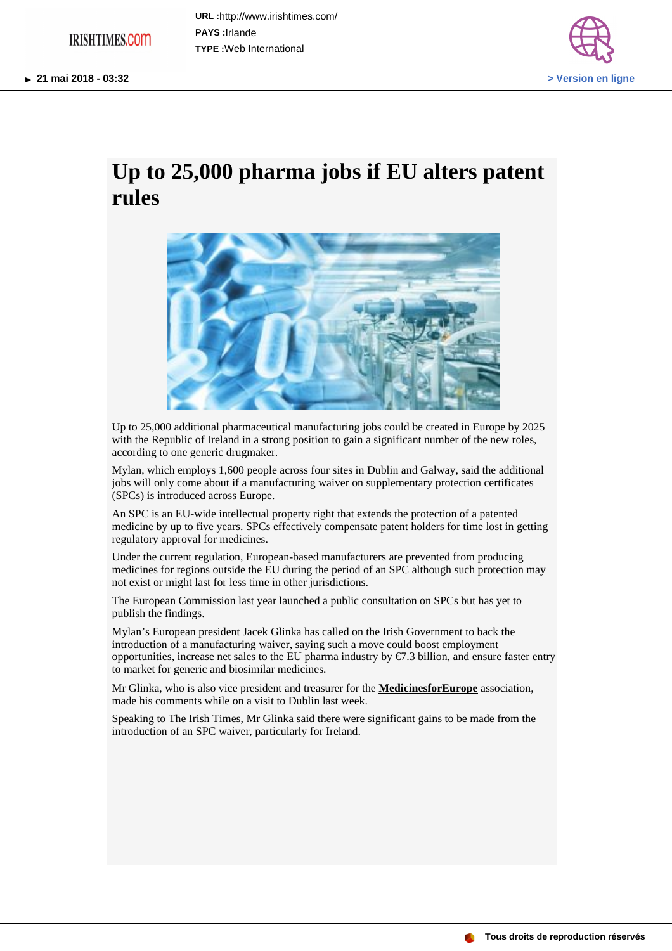## **IRISHTIMES.COM**

**URL :** http://www.irishtimes.com/ **PAYS :** Irlande **TYPE :** Web International



## **Up to 25,000 pharma jobs if EU alters patent rules**



Up to 25,000 additional pharmaceutical manufacturing jobs could be created in Europe by 2025 with the Republic of Ireland in a strong position to gain a significant number of the new roles, according to one generic drugmaker.

Mylan, which employs 1,600 people across four sites in Dublin and Galway, said the additional jobs will only come about if a manufacturing waiver on supplementary protection certificates (SPCs) is introduced across Europe.

An SPC is an EU-wide intellectual property right that extends the protection of a patented medicine by up to five years. SPCs effectively compensate patent holders for time lost in getting regulatory approval for medicines.

Under the current regulation, European-based manufacturers are prevented from producing medicines for regions outside the EU during the period of an SPC although such protection may not exist or might last for less time in other jurisdictions.

The European Commission last year launched a public consultation on SPCs but has yet to publish the findings.

Mylan's European president Jacek Glinka has called on the Irish Government to back the introduction of a manufacturing waiver, saying such a move could boost employment opportunities, increase net sales to the EU pharma industry by €7.3 billion, and ensure faster entry to market for generic and biosimilar medicines.

Mr Glinka, who is also vice president and treasurer for the **MedicinesforEurope** association, made his comments while on a visit to Dublin last week.

Speaking to The Irish Times, Mr Glinka said there were significant gains to be made from the introduction of an SPC waiver, particularly for Ireland.